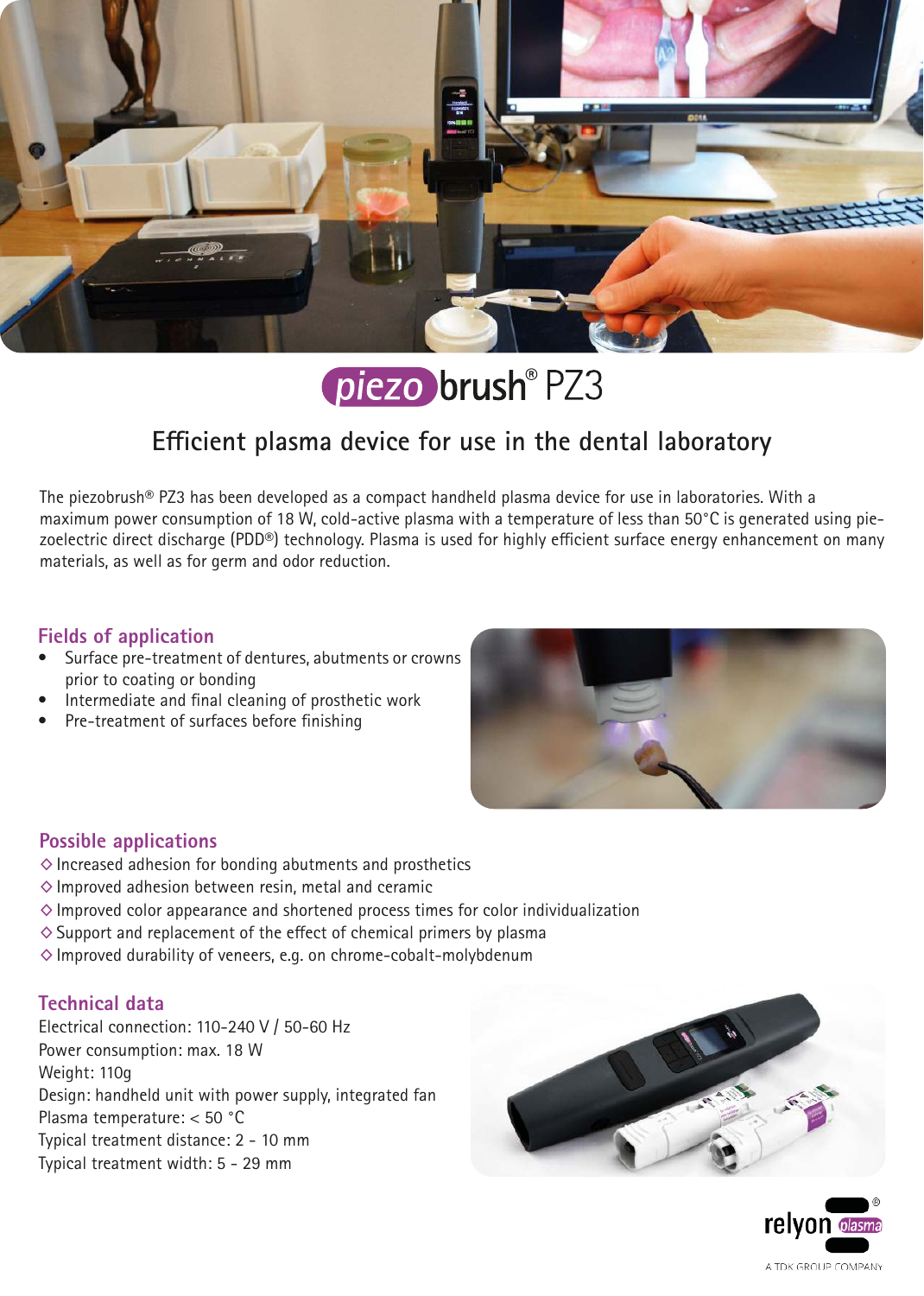

piezo brush® PZ3

# **Efficient plasma device for use in the dental laboratory**

The piezobrush® PZ3 has been developed as a compact handheld plasma device for use in laboratories. With a maximum power consumption of 18 W, cold-active plasma with a temperature of less than 50°C is generated using piezoelectric direct discharge (PDD®) technology. Plasma is used for highly efficient surface energy enhancement on many materials, as well as for germ and odor reduction.

### **Fields of application**

- Surface pre-treatment of dentures, abutments or crowns prior to coating or bonding
- Intermediate and final cleaning of prosthetic work
- Pre-treatment of surfaces before finishing



### **Possible applications**

- $\diamond$  Increased adhesion for bonding abutments and prosthetics
- $\diamond$  Improved adhesion between resin, metal and ceramic
- $\diamond$  Improved color appearance and shortened process times for color individualization
- $\diamond$  Support and replacement of the effect of chemical primers by plasma
- $\diamond$  Improved durability of veneers, e.g. on chrome-cobalt-molybdenum

### **Technical data**

Electrical connection: 110-240 V / 50-60 Hz Power consumption: max. 18 W Weight: 110g Design: handheld unit with power supply, integrated fan Plasma temperature: < 50 °C Typical treatment distance: 2 - 10 mm Typical treatment width: 5 - 29 mm